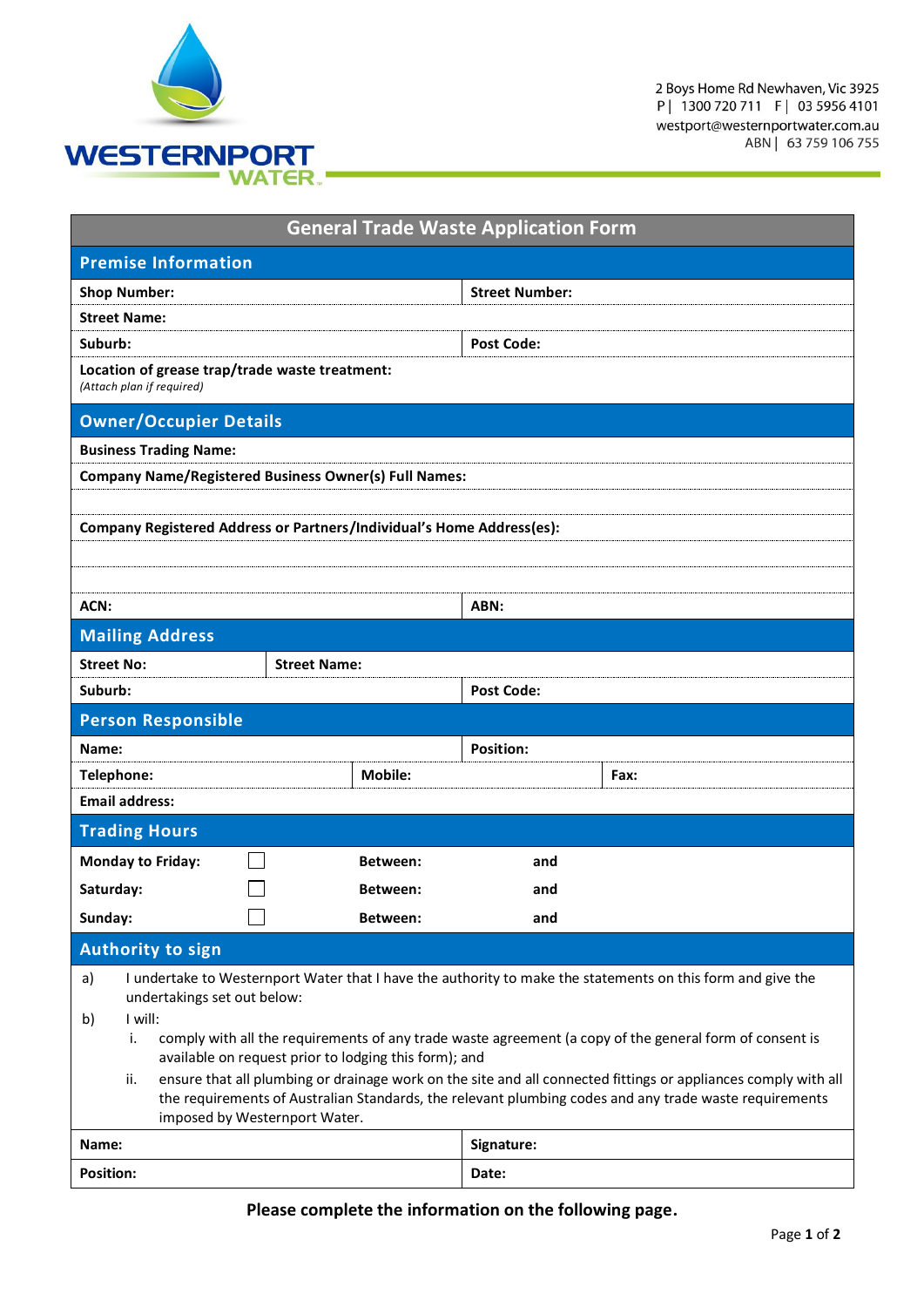

2 Boys Home Rd Newhaven, Vic 3925<br>P | 1300 720 711 F | 03 5956 4101 westport@westernportwater.com.au ABN | 63 759 106 755

| <b>General Trade Waste Application Form</b>                                                                                                                                                                                                                      |                                                                       |                       |      |  |  |
|------------------------------------------------------------------------------------------------------------------------------------------------------------------------------------------------------------------------------------------------------------------|-----------------------------------------------------------------------|-----------------------|------|--|--|
| <b>Premise Information</b>                                                                                                                                                                                                                                       |                                                                       |                       |      |  |  |
| <b>Shop Number:</b>                                                                                                                                                                                                                                              |                                                                       | <b>Street Number:</b> |      |  |  |
| <b>Street Name:</b>                                                                                                                                                                                                                                              |                                                                       |                       |      |  |  |
| Suburb:                                                                                                                                                                                                                                                          |                                                                       | <b>Post Code:</b>     |      |  |  |
| Location of grease trap/trade waste treatment:<br>(Attach plan if required)                                                                                                                                                                                      |                                                                       |                       |      |  |  |
| <b>Owner/Occupier Details</b>                                                                                                                                                                                                                                    |                                                                       |                       |      |  |  |
| <b>Business Trading Name:</b>                                                                                                                                                                                                                                    |                                                                       |                       |      |  |  |
|                                                                                                                                                                                                                                                                  | <b>Company Name/Registered Business Owner(s) Full Names:</b>          |                       |      |  |  |
|                                                                                                                                                                                                                                                                  |                                                                       |                       |      |  |  |
|                                                                                                                                                                                                                                                                  | Company Registered Address or Partners/Individual's Home Address(es): |                       |      |  |  |
|                                                                                                                                                                                                                                                                  |                                                                       |                       |      |  |  |
|                                                                                                                                                                                                                                                                  |                                                                       |                       |      |  |  |
| ACN:                                                                                                                                                                                                                                                             |                                                                       |                       | ABN: |  |  |
| <b>Mailing Address</b>                                                                                                                                                                                                                                           |                                                                       |                       |      |  |  |
| <b>Street No:</b>                                                                                                                                                                                                                                                | <b>Street Name:</b>                                                   |                       |      |  |  |
| Suburb:                                                                                                                                                                                                                                                          |                                                                       | <b>Post Code:</b>     |      |  |  |
| <b>Person Responsible</b>                                                                                                                                                                                                                                        |                                                                       |                       |      |  |  |
| Name:                                                                                                                                                                                                                                                            |                                                                       | <b>Position:</b>      |      |  |  |
| Telephone:                                                                                                                                                                                                                                                       | <b>Mobile:</b>                                                        |                       | Fax: |  |  |
| <b>Email address:</b>                                                                                                                                                                                                                                            |                                                                       |                       |      |  |  |
| <b>Trading Hours</b>                                                                                                                                                                                                                                             |                                                                       |                       |      |  |  |
| <b>Monday to Friday:</b>                                                                                                                                                                                                                                         | Between:                                                              | and                   |      |  |  |
| Saturday:                                                                                                                                                                                                                                                        | Between:                                                              | and                   |      |  |  |
| Sunday:                                                                                                                                                                                                                                                          | Between:                                                              | and                   |      |  |  |
| <b>Authority to sign</b>                                                                                                                                                                                                                                         |                                                                       |                       |      |  |  |
| I undertake to Westernport Water that I have the authority to make the statements on this form and give the<br>a)                                                                                                                                                |                                                                       |                       |      |  |  |
| undertakings set out below:<br>I will:                                                                                                                                                                                                                           |                                                                       |                       |      |  |  |
| b)<br>comply with all the requirements of any trade waste agreement (a copy of the general form of consent is<br>i.                                                                                                                                              |                                                                       |                       |      |  |  |
| available on request prior to lodging this form); and                                                                                                                                                                                                            |                                                                       |                       |      |  |  |
| ensure that all plumbing or drainage work on the site and all connected fittings or appliances comply with all<br>ii.<br>the requirements of Australian Standards, the relevant plumbing codes and any trade waste requirements<br>imposed by Westernport Water. |                                                                       |                       |      |  |  |
| Name:                                                                                                                                                                                                                                                            |                                                                       | Signature:            |      |  |  |
| <b>Position:</b>                                                                                                                                                                                                                                                 |                                                                       | Date:                 |      |  |  |

## **Please complete the information on the following page.**